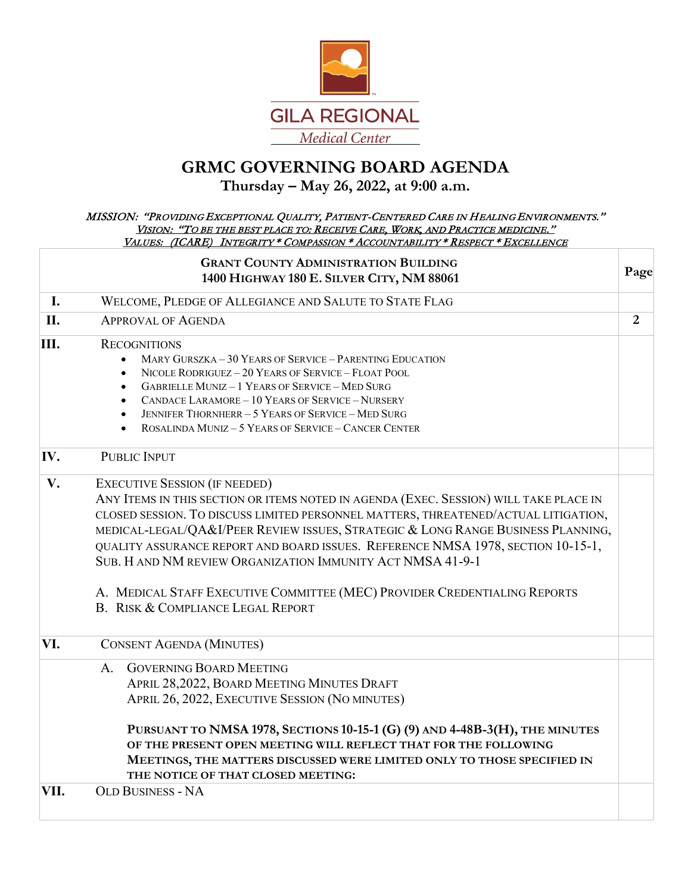

# **GRMC GOVERNING BOARD AGENDA**

# **Thursday – May 26, 2022, at 9:00 a.m.**

#### MISSION: "PROVIDING EXCEPTIONAL QUALITY, PATIENT-CENTERED CARE IN HEALING ENVIRONMENTS." VISION: "TO BE THE BEST PLACE TO: RECEIVE CARE, WORK, AND PRACTICE MEDICINE." VALUES: (ICARE) INTEGRITY \* COMPASSION \* ACCOUNTABILITY \* RESPECT \* EXCELLENCE

|      | <b>GRANT COUNTY ADMINISTRATION BUILDING</b><br>1400 HIGHWAY 180 E. SILVER CITY, NM 88061                                                                                                                                                                                                                                                                                                                                                                                                                                                                                    | Page           |
|------|-----------------------------------------------------------------------------------------------------------------------------------------------------------------------------------------------------------------------------------------------------------------------------------------------------------------------------------------------------------------------------------------------------------------------------------------------------------------------------------------------------------------------------------------------------------------------------|----------------|
| I.   | WELCOME, PLEDGE OF ALLEGIANCE AND SALUTE TO STATE FLAG                                                                                                                                                                                                                                                                                                                                                                                                                                                                                                                      |                |
| II.  | <b>APPROVAL OF AGENDA</b>                                                                                                                                                                                                                                                                                                                                                                                                                                                                                                                                                   | $\overline{2}$ |
| III. | <b>RECOGNITIONS</b><br>MARY GURSZKA - 30 YEARS OF SERVICE - PARENTING EDUCATION<br>NICOLE RODRIGUEZ - 20 YEARS OF SERVICE - FLOAT POOL<br>$\bullet$<br><b>GABRIELLE MUNIZ - 1 YEARS OF SERVICE - MED SURG</b><br>$\bullet$<br>CANDACE LARAMORE - 10 YEARS OF SERVICE - NURSERY<br>JENNIFER THORNHERR - 5 YEARS OF SERVICE - MED SURG<br>ROSALINDA MUNIZ - 5 YEARS OF SERVICE - CANCER CENTER                                                                                                                                                                                |                |
| IV.  | PUBLIC INPUT                                                                                                                                                                                                                                                                                                                                                                                                                                                                                                                                                                |                |
| V.   | <b>EXECUTIVE SESSION (IF NEEDED)</b><br>ANY ITEMS IN THIS SECTION OR ITEMS NOTED IN AGENDA (EXEC. SESSION) WILL TAKE PLACE IN<br>CLOSED SESSION. TO DISCUSS LIMITED PERSONNEL MATTERS, THREATENED/ACTUAL LITIGATION,<br>MEDICAL-LEGAL/QA&I/PEER REVIEW ISSUES, STRATEGIC & LONG RANGE BUSINESS PLANNING,<br>QUALITY ASSURANCE REPORT AND BOARD ISSUES. REFERENCE NMSA 1978, SECTION 10-15-1,<br>SUB. HAND NM REVIEW ORGANIZATION IMMUNITY ACT NMSA 41-9-1<br>A. MEDICAL STAFF EXECUTIVE COMMITTEE (MEC) PROVIDER CREDENTIALING REPORTS<br>B. RISK & COMPLIANCE LEGAL REPORT |                |
| VI.  | <b>CONSENT AGENDA (MINUTES)</b>                                                                                                                                                                                                                                                                                                                                                                                                                                                                                                                                             |                |
|      | <b>GOVERNING BOARD MEETING</b><br>A.<br>APRIL 28,2022, BOARD MEETING MINUTES DRAFT<br>APRIL 26, 2022, EXECUTIVE SESSION (NO MINUTES)<br>PURSUANT TO NMSA 1978, SECTIONS 10-15-1 (G) (9) AND 4-48B-3(H), THE MINUTES<br>OF THE PRESENT OPEN MEETING WILL REFLECT THAT FOR THE FOLLOWING<br>MEETINGS, THE MATTERS DISCUSSED WERE LIMITED ONLY TO THOSE SPECIFIED IN<br>THE NOTICE OF THAT CLOSED MEETING:                                                                                                                                                                     |                |
| VII. | <b>OLD BUSINESS - NA</b>                                                                                                                                                                                                                                                                                                                                                                                                                                                                                                                                                    |                |